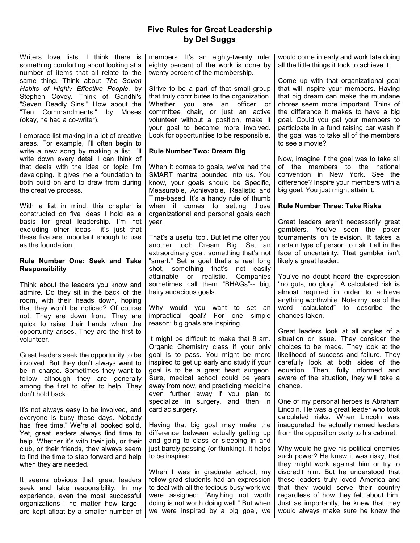# Five Rules for Great Leadership by Del Suggs

Writers love lists. I think there is something comforting about looking at a number of items that all relate to the same thing. Think about The Seven Habits of Highly Effective People, by Stephen Covey. Think of Gandhi's "Seven Deadly Sins." How about the "Ten Commandments," by Moses (okay, he had a co-writer).

I embrace list making in a lot of creative areas. For example, I'll often begin to write a new song by making a list. I'll write down every detail I can think of that deals with the idea or topic I'm developing. It gives me a foundation to both build on and to draw from during the creative process.

With a list in mind, this chapter is constructed on five ideas I hold as a basis for great leadership. I'm not excluding other ideas-- it's just that these five are important enough to use as the foundation.

### Rule Number One: Seek and Take **Responsibility**

Think about the leaders you know and admire. Do they sit in the back of the room, with their heads down, hoping that they won't be noticed? Of course not. They are down front. They are quick to raise their hands when the opportunity arises. They are the first to volunteer.

Great leaders seek the opportunity to be involved. But they don't always want to be in charge. Sometimes they want to follow although they are generally among the first to offer to help. They don't hold back.

It's not always easy to be involved, and everyone is busy these days. Nobody has "free time." We're all booked solid. Yet, great leaders always find time to help. Whether it's with their job, or their club, or their friends, they always seem to find the time to step forward and help when they are needed.

It seems obvious that great leaders seek and take responsibility. In my experience, even the most successful organizations-- no matter how large- are kept afloat by a smaller number of members. It's an eighty-twenty rule: eighty percent of the work is done by twenty percent of the membership.

Strive to be a part of that small group that truly contributes to the organization. Whether you are an officer or committee chair, or just an active volunteer without a position, make it your goal to become more involved. Look for opportunities to be responsible.

## Rule Number Two: Dream Big

When it comes to goals, we've had the SMART mantra pounded into us. You know, your goals should be Specific, Measurable, Achievable, Realistic and Time-based. It's a handy rule of thumb when it comes to setting those organizational and personal goals each year.

That's a useful tool. But let me offer you another tool: Dream Big. Set an extraordinary goal, something that's not "smart." Set a goal that's a real long shot, something that's not easily attainable or realistic. Companies sometimes call them "BHAGs"-- big. hairy audacious goals.

Why would you want to set an impractical goal? For one simple reason: big goals are inspiring.

It might be difficult to make that 8 am. Organic Chemistry class if your only goal is to pass. You might be more inspired to get up early and study if your goal is to be a great heart surgeon. Sure, medical school could be years away from now, and practicing medicine even further away if you plan to specialize in surgery, and then in cardiac surgery.

Having that big goal may make the difference between actually getting up and going to class or sleeping in and just barely passing (or flunking). It helps to be inspired.

When I was in graduate school, my fellow grad students had an expression to deal with all the tedious busy work we were assigned: "Anything not worth doing is not worth doing well." But when we were inspired by a big goal, we would come in early and work late doing all the little things it took to achieve it.

Come up with that organizational goal that will inspire your members. Having that big dream can make the mundane chores seem more important. Think of the difference it makes to have a big goal. Could you get your members to participate in a fund raising car wash if the goal was to take all of the members to see a movie?

Now, imagine if the goal was to take all of the members to the national convention in New York. See the difference? Inspire your members with a big goal. You just might attain it.

### Rule Number Three: Take Risks

Great leaders aren't necessarily great gamblers. You've seen the poker tournaments on television. It takes a certain type of person to risk it all in the face of uncertainty. That gambler isn't likely a great leader.

You've no doubt heard the expression "no guts, no glory." A calculated risk is almost required in order to achieve anything worthwhile. Note my use of the word "calculated" to describe the chances taken.

Great leaders look at all angles of a situation or issue. They consider the choices to be made. They look at the likelihood of success and failure. They carefully look at both sides of the equation. Then, fully informed and aware of the situation, they will take a chance.

One of my personal heroes is Abraham Lincoln. He was a great leader who took calculated risks. When Lincoln was inaugurated, he actually named leaders from the opposition party to his cabinet.

Why would he give his political enemies such power? He knew it was risky, that they might work against him or try to discredit him. But he understood that these leaders truly loved America and that they would serve their country regardless of how they felt about him. Just as importantly, he knew that they would always make sure he knew the